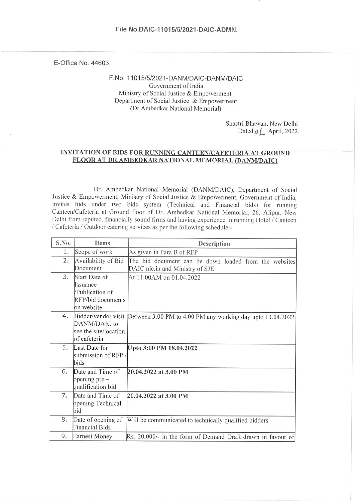E-Office No. 44603

F.No. 11015/5/2021-DANM/DAIC-DANM/DAIC Government of India Ministry of Social Justice & Empowerment Department of Social Justice & Empowerment (Dr.Ambedkar National Memorial)

> Shastri Bhawan, New Delhi Dated  $\emptyset$   $\perp$  April, 2022

#### **INVITATION OF BIDS FOR RUNNING CANTEEN/CAFETERIA AT GROUND** FLOOR AT DR.AMBEDKAR NATIONAL MEMORIAL (DANM/DAIC)

Dr. Ambedkar National Memorial (DANM/DAIC), Department of Social Justice & Empowerment, Ministry of Social Justice & Empowerment, Government of India, invites bids under two bids system (Technical and Financial bids) for running Canteen/Cafeteria at Ground floor of Dr. Ambedkar National Memorial, 26, Alipur, New Delhi from reputed, financially sound firms and having experience in running Hotel / Canteen / Cafeteria / Outdoor catering services as per the following schedule:-

| S.No. | Items                                                                            | Description                                                                              |  |  |  |  |  |  |
|-------|----------------------------------------------------------------------------------|------------------------------------------------------------------------------------------|--|--|--|--|--|--|
| 1.    | Scope of work                                                                    | As given in Para B of RFP                                                                |  |  |  |  |  |  |
| 2.    | Availability of Bid<br>Document                                                  | The bid document can be down loaded from the websites<br>DAIC.nic.in and Ministry of SJE |  |  |  |  |  |  |
| 3.    | Start Date of<br>Issuance<br>/Publication of<br>RFP/bid documents<br>on website. | At 11:00AM on 01.04.2022                                                                 |  |  |  |  |  |  |
| 4.    | Bidder/vendor visit<br>DANM/DAIC to<br>see the site/location<br>of cafeteria     | Between 3.00 PM to 4.00 PM any working day upto 13.04.2022                               |  |  |  |  |  |  |
| 5.    | Last Date for<br>submission of RFP/<br>bids                                      | Upto 3:00 PM 18.04.2022                                                                  |  |  |  |  |  |  |
| 6.    | Date and Time of<br>opening $pre-$<br>qualification bid                          | 20.04.2022 at 3.00 PM                                                                    |  |  |  |  |  |  |
| 7.    | Date and Time of<br>opening Technical<br>bid                                     | 20.04.2022 at 3.00 PM                                                                    |  |  |  |  |  |  |
| 8.    | Date of opening of<br><b>Financial Bids</b>                                      | Will be communicated to technically qualified bidders                                    |  |  |  |  |  |  |
| 9.    | <b>Earnest Money</b>                                                             | Rs. 20,000/- in the form of Demand Draft drawn in favour of                              |  |  |  |  |  |  |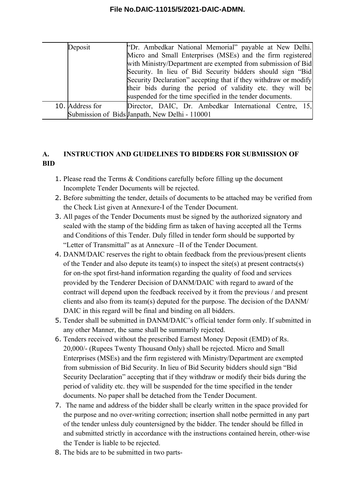| Deposit         | "Dr. Ambedkar National Memorial" payable at New Delhi.<br>Micro and Small Enterprises (MSEs) and the firm registered<br>with Ministry/Department are exempted from submission of Bid<br>Security. In lieu of Bid Security bidders should sign "Bid<br>Security Declaration" accepting that if they withdraw or modify<br>their bids during the period of validity etc. they will be |
|-----------------|-------------------------------------------------------------------------------------------------------------------------------------------------------------------------------------------------------------------------------------------------------------------------------------------------------------------------------------------------------------------------------------|
|                 | suspended for the time specified in the tender documents.                                                                                                                                                                                                                                                                                                                           |
| 10. Address for | Director, DAIC, Dr. Ambedkar International Centre, 15,                                                                                                                                                                                                                                                                                                                              |
|                 | Submission of Bids Janpath, New Delhi - 110001                                                                                                                                                                                                                                                                                                                                      |

### **A. INSTRUCTION AND GUIDELINES TO BIDDERS FOR SUBMISSION OF BID**

- 1. Please read the Terms & Conditions carefully before filling up the document Incomplete Tender Documents will be rejected.
- 2. Before submitting the tender, details of documents to be attached may be verified from the Check List given at Annexure-I of the Tender Document.
- 3. All pages of the Tender Documents must be signed by the authorized signatory and sealed with the stamp of the bidding firm as taken of having accepted all the Terms and Conditions of this Tender. Duly filled in tender form should be supported by "Letter of Transmittal" as at Annexure –II of the Tender Document.
- 4. DANM/DAIC reserves the right to obtain feedback from the previous/present clients of the Tender and also depute its team(s) to inspect the site(s) at present contracts(s) for on-the spot first-hand information regarding the quality of food and services provided by the Tenderer Decision of DANM/DAIC with regard to award of the contract will depend upon the feedback received by it from the previous / and present clients and also from its team(s) deputed for the purpose. The decision of the DANM/ DAIC in this regard will be final and binding on all bidders.
- 5. Tender shall be submitted in DANM/DAIC's official tender form only. If submitted in any other Manner, the same shall be summarily rejected.
- 6. Tenders received without the prescribed Earnest Money Deposit (EMD) of Rs. 20,000/- (Rupees Twenty Thousand Only) shall be rejected. Micro and Small Enterprises (MSEs) and the firm registered with Ministry/Department are exempted from submission of Bid Security. In lieu of Bid Security bidders should sign "Bid Security Declaration" accepting that if they withdraw or modify their bids during the period of validity etc. they will be suspended for the time specified in the tender documents. No paper shall be detached from the Tender Document.
- 7. The name and address of the bidder shall be clearly written in the space provided for the purpose and no over-writing correction; insertion shall notbe permitted in any part of the tender unless duly countersigned by the bidder. The tender should be filled in and submitted strictly in accordance with the instructions contained herein, other-wise the Tender is liable to be rejected.
- 8. The bids are to be submitted in two parts-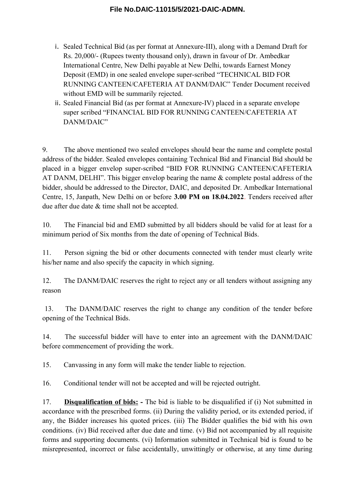- i. Sealed Technical Bid (as per format at Annexure-III), along with a Demand Draft for Rs. 20,000/- (Rupees twenty thousand only), drawn in favour of Dr. Ambedkar International Centre, New Delhi payable at New Delhi, towards Earnest Money Deposit (EMD) in one sealed envelope super-scribed "TECHNICAL BID FOR RUNNING CANTEEN/CAFETERIA AT DANM/DAIC" Tender Document received without EMD will be summarily rejected.
- ii. Sealed Financial Bid (as per format at Annexure-IV) placed in a separate envelope super scribed "FINANCIAL BID FOR RUNNING CANTEEN/CAFETERIA AT DANM/DAIC"

9. The above mentioned two sealed envelopes should bear the name and complete postal address of the bidder. Sealed envelopes containing Technical Bid and Financial Bid should be placed in a bigger envelop super-scribed "BID FOR RUNNING CANTEEN/CAFETERIA AT DANM, DELHI". This bigger envelop bearing the name & complete postal address of the bidder, should be addressed to the Director, DAIC, and deposited Dr. Ambedkar International Centre, 15, Janpath, New Delhi on or before **3.00 PM on 18.04.2022**. Tenders received after due after due date & time shall not be accepted.

10. The Financial bid and EMD submitted by all bidders should be valid for at least for a minimum period of Six months from the date of opening of Technical Bids.

11. Person signing the bid or other documents connected with tender must clearly write his/her name and also specify the capacity in which signing.

12. The DANM/DAIC reserves the right to reject any or all tenders without assigning any reason

13. The DANM/DAIC reserves the right to change any condition of the tender before opening of the Technical Bids.

14. The successful bidder will have to enter into an agreement with the DANM/DAIC before commencement of providing the work.

15. Canvassing in any form will make the tender liable to rejection.

16. Conditional tender will not be accepted and will be rejected outright.

17. **Disqualification of bids: -** The bid is liable to be disqualified if (i) Not submitted in accordance with the prescribed forms. (ii) During the validity period, or its extended period, if any, the Bidder increases his quoted prices. (iii) The Bidder qualifies the bid with his own conditions. (iv) Bid received after due date and time. (v) Bid not accompanied by all requisite forms and supporting documents. (vi) Information submitted in Technical bid is found to be misrepresented, incorrect or false accidentally, unwittingly or otherwise, at any time during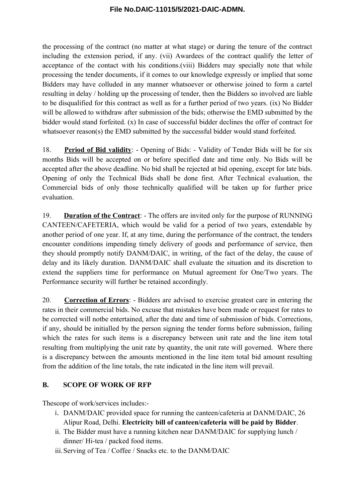the processing of the contract (no matter at what stage) or during the tenure of the contract including the extension period, if any. (vii) Awardees of the contract qualify the letter of acceptance of the contact with his conditions.(viii) Bidders may specially note that while processing the tender documents, if it comes to our knowledge expressly or implied that some Bidders may have colluded in any manner whatsoever or otherwise joined to form a cartel resulting in delay / holding up the processing of tender, then the Bidders so involved are liable to be disqualified for this contract as well as for a further period of two years. (ix) No Bidder will be allowed to withdraw after submission of the bids; otherwise the EMD submitted by the bidder would stand forfeited. (x) In case of successful bidder declines the offer of contract for whatsoever reason(s) the EMD submitted by the successful bidder would stand forfeited.

18. **Period of Bid validity**: - Opening of Bids: - Validity of Tender Bids will be for six months Bids will be accepted on or before specified date and time only. No Bids will be accepted after the above deadline. No bid shall be rejected at bid opening, except for late bids. Opening of only the Technical Bids shall be done first. After Technical evaluation, the Commercial bids of only those technically qualified will be taken up for further price evaluation.

19. **Duration of the Contract**: - The offers are invited only for the purpose of RUNNING CANTEEN/CAFETERIA, which would be valid for a period of two years, extendable by another period of one year. If, at any time, during the performance of the contract, the tenders encounter conditions impending timely delivery of goods and performance of service, then they should promptly notify DANM/DAIC, in writing, of the fact of the delay, the cause of delay and its likely duration. DANM/DAIC shall evaluate the situation and its discretion to extend the suppliers time for performance on Mutual agreement for One/Two years. The Performance security will further be retained accordingly.

20. **Correction of Errors**: - Bidders are advised to exercise greatest care in entering the rates in their commercial bids. No excuse that mistakes have been made or request for rates to be corrected will notbe entertained, after the date and time of submission of bids. Corrections, if any, should be initialled by the person signing the tender forms before submission, failing which the rates for such items is a discrepancy between unit rate and the line item total resulting from multiplying the unit rate by quantity, the unit rate will governed. Where there is a discrepancy between the amounts mentioned in the line item total bid amount resulting from the addition of the line totals, the rate indicated in the line item will prevail.

### **B. SCOPE OF WORK OF RFP**

Thescope of work/services includes:-

- i. DANM/DAIC provided space for running the canteen/cafeteria at DANM/DAIC, 26 Alipur Road, Delhi. **Electricity bill of canteen/cafeteria will be paid by Bidder**.
- ii. The Bidder must have a running kitchen near DANM/DAIC for supplying lunch / dinner/ Hi-tea / packed food items.
- iii.Serving of Tea / Coffee / Snacks etc. to the DANM/DAIC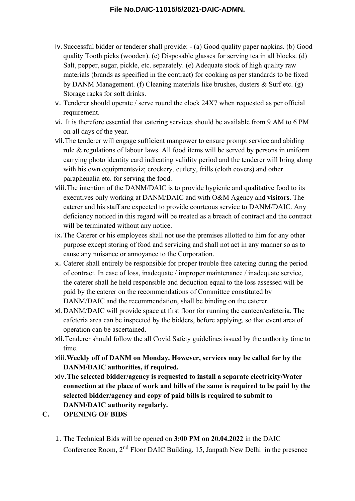- iv.Successful bidder or tenderer shall provide: (a) Good quality paper napkins. (b) Good quality Tooth picks (wooden). (c) Disposable glasses for serving tea in all blocks. (d) Salt, pepper, sugar, pickle, etc. separately. (e) Adequate stock of high quality raw materials (brands as specified in the contract) for cooking as per standards to be fixed by DANM Management. (f) Cleaning materials like brushes, dusters & Surf etc. (g) Storage racks for soft drinks.
- v. Tenderer should operate / serve round the clock 24X7 when requested as per official requirement.
- vi. It is therefore essential that catering services should be available from 9 AM to 6 PM on all days of the year.
- vii.The tenderer will engage sufficient manpower to ensure prompt service and abiding rule & regulations of labour laws. All food items will be served by persons in uniform carrying photo identity card indicating validity period and the tenderer will bring along with his own equipmentsviz; crockery, cutlery, frills (cloth covers) and other paraphenalia etc. for serving the food.
- viii.The intention of the DANM/DAIC is to provide hygienic and qualitative food to its executives only working at DANM/DAIC and with O&M Agency and **visitors**. The caterer and his staff are expected to provide courteous service to DANM/DAIC. Any deficiency noticed in this regard will be treated as a breach of contract and the contract will be terminated without any notice.
- ix.The Caterer or his employees shall not use the premises allotted to him for any other purpose except storing of food and servicing and shall not act in any manner so as to cause any nuisance or annoyance to the Corporation.
- x. Caterer shall entirely be responsible for proper trouble free catering during the period of contract. In case of loss, inadequate / improper maintenance / inadequate service, the caterer shall he held responsible and deduction equal to the loss assessed will be paid by the caterer on the recommendations of Committee constituted by DANM/DAIC and the recommendation, shall be binding on the caterer.
- xi.DANM/DAIC will provide space at first floor for running the canteen/cafeteria. The cafeteria area can be inspected by the bidders, before applying, so that event area of operation can be ascertained.
- xii.Tenderer should follow the all Covid Safety guidelines issued by the authority time to time.
- xiii.**Weekly off of DANM on Monday. However, services may be called for by the DANM/DAIC authorities, if required.**
- xiv.**The selected bidder/agency is requested to install a separate electricity/Water connection at the place of work and bills of the same is required to be paid by the selected bidder/agency and copy of paid bills is required to submit to DANM/DAIC authority regularly.**

### **C. OPENING OF BIDS**

1. The Technical Bids will be opened on **3:00 PM on 20.04.2022** in the DAIC Conference Room, 2nd Floor DAIC Building, 15, Janpath New Delhi in the presence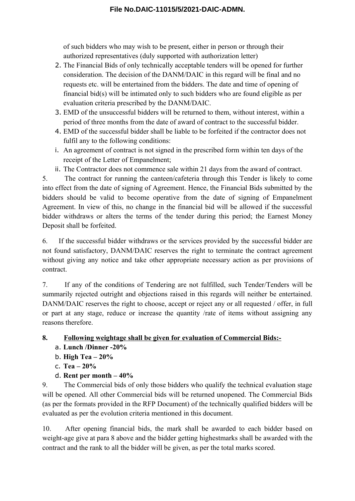of such bidders who may wish to be present, either in person or through their authorized representatives (duly supported with authorization letter)

- 2. The Financial Bids of only technically acceptable tenders will be opened for further consideration. The decision of the DANM/DAIC in this regard will be final and no requests etc. will be entertained from the bidders. The date and time of opening of financial bid(s) will be intimated only to such bidders who are found eligible as per evaluation criteria prescribed by the DANM/DAIC.
- 3. EMD of the unsuccessful bidders will be returned to them, without interest, within a period of three months from the date of award of contract to the successful bidder.
- 4. EMD of the successful bidder shall be liable to be forfeited if the contractor does not fulfil any to the following conditions:
- i. An agreement of contract is not signed in the prescribed form within ten days of the receipt of the Letter of Empanelment;
- ii. The Contractor does not commence sale within 21 days from the award of contract.

5. The contract for running the canteen/cafeteria through this Tender is likely to come into effect from the date of signing of Agreement. Hence, the Financial Bids submitted by the bidders should be valid to become operative from the date of signing of Empanelment Agreement. In view of this, no change in the financial bid will be allowed if the successful bidder withdraws or alters the terms of the tender during this period; the Earnest Money Deposit shall be forfeited.

6. If the successful bidder withdraws or the services provided by the successful bidder are not found satisfactory, DANM/DAIC reserves the right to terminate the contract agreement without giving any notice and take other appropriate necessary action as per provisions of contract.

7. If any of the conditions of Tendering are not fulfilled, such Tender/Tenders will be summarily rejected outright and objections raised in this regards will neither be entertained. DANM/DAIC reserves the right to choose, accept or reject any or all requested / offer, in full or part at any stage, reduce or increase the quantity /rate of items without assigning any reasons therefore.

### **8. Following weightage shall be given for evaluation of Commercial Bids:-**

- a. **Lunch /Dinner -20%**
- b. **High Tea 20%**
- c. **Tea 20%**
- d. **Rent per month 40%**

9. The Commercial bids of only those bidders who qualify the technical evaluation stage will be opened. All other Commercial bids will be returned unopened. The Commercial Bids (as per the formats provided in the RFP Document) of the technically qualified bidders will be evaluated as per the evolution criteria mentioned in this document.

10. After opening financial bids, the mark shall be awarded to each bidder based on weight-age give at para 8 above and the bidder getting highestmarks shall be awarded with the contract and the rank to all the bidder will be given, as per the total marks scored.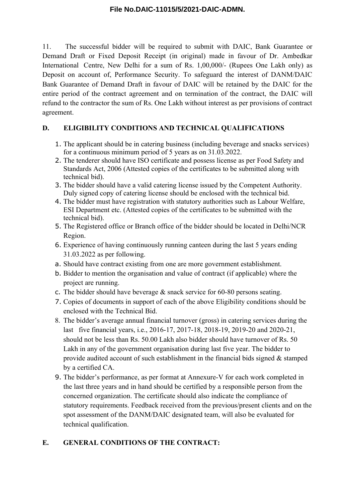11. The successful bidder will be required to submit with DAIC, Bank Guarantee or Demand Draft or Fixed Deposit Receipt (in original) made in favour of Dr. Ambedkar International Centre, New Delhi for a sum of Rs. 1,00,000/- (Rupees One Lakh only) as Deposit on account of, Performance Security. To safeguard the interest of DANM/DAIC Bank Guarantee of Demand Draft in favour of DAIC will be retained by the DAIC for the entire period of the contract agreement and on termination of the contract, the DAIC will refund to the contractor the sum of Rs. One Lakh without interest as per provisions of contract agreement.

### **D. ELIGIBILITY CONDITIONS AND TECHNICAL QUALIFICATIONS**

- 1. The applicant should be in catering business (including beverage and snacks services) for a continuous minimum period of 5 years as on 31.03.2022.
- 2. The tenderer should have ISO certificate and possess license as per Food Safety and Standards Act, 2006 (Attested copies of the certificates to be submitted along with technical bid).
- 3. The bidder should have a valid catering license issued by the Competent Authority. Duly signed copy of catering license should be enclosed with the technical bid.
- 4. The bidder must have registration with statutory authorities such as Labour Welfare, ESI Department etc. (Attested copies of the certificates to be submitted with the technical bid).
- 5. The Registered office or Branch office of the bidder should be located in Delhi/NCR Region.
- 6. Experience of having continuously running canteen during the last 5 years ending 31.03.2022 as per following.
- a. Should have contract existing from one are more government establishment.
- b. Bidder to mention the organisation and value of contract (if applicable) where the project are running.
- c. The bidder should have beverage & snack service for 60-80 persons seating.
- 7. Copies of documents in support of each of the above Eligibility conditions should be enclosed with the Technical Bid.
- 8. The bidder's average annual financial turnover (gross) in catering services during the last five financial years, i.e., 2016-17, 2017-18, 2018-19, 2019-20 and 2020-21, should not be less than Rs. 50.00 Lakh also bidder should have turnover of Rs. 50 Lakh in any of the government organisation during last five year. The bidder to provide audited account of such establishment in the financial bids signed & stamped by a certified CA.
- 9. The bidder's performance, as per format at Annexure-V for each work completed in the last three years and in hand should be certified by a responsible person from the concerned organization. The certificate should also indicate the compliance of statutory requirements. Feedback received from the previous/present clients and on the spot assessment of the DANM/DAIC designated team, will also be evaluated for technical qualification.

### **E. GENERAL CONDITIONS OF THE CONTRACT:**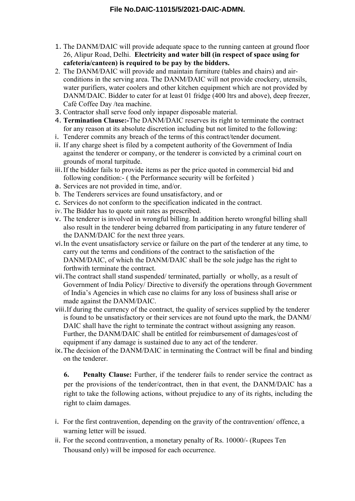- 1. The DANM/DAIC will provide adequate space to the running canteen at ground floor 26, Alipur Road, Delhi. **Electricity and water bill (in respect of space using for cafeteria/canteen) is required to be pay by the bidders.**
- 2. The DANM/DAIC will provide and maintain furniture (tables and chairs) and airconditions in the serving area. The DANM/DAIC will not provide crockery, utensils, water purifiers, water coolers and other kitchen equipment which are not provided by DANM/DAIC. Bidder to cater for at least 01 fridge (400 ltrs and above), deep freezer, Café Coffee Day /tea machine.
- 3. Contractor shall serve food only inpaper disposable material.
- 4. **Termination Clause:-**The DANM/DAIC reserves its right to terminate the contract for any reason at its absolute discretion including but not limited to the following:
- i. Tenderer commits any breach of the terms of this contract/tender document.
- ii. If any charge sheet is filed by a competent authority of the Government of India against the tenderer or company, or the tenderer is convicted by a criminal court on grounds of moral turpitude.
- iii.If the bidder fails to provide items as per the price quoted in commercial bid and following condition:- ( the Performance security will be forfeited )
- a. Services are not provided in time, and/or.
- b. The Tenderers services are found unsatisfactory, and or
- c. Services do not conform to the specification indicated in the contract.
- iv.The Bidder has to quote unit rates as prescribed.
- v. The tenderer is involved in wrongful billing. In addition hereto wrongful billing shall also result in the tenderer being debarred from participating in any future tenderer of the DANM/DAIC for the next three years.
- vi.In the event unsatisfactory service or failure on the part of the tenderer at any time, to carry out the terms and conditions of the contract to the satisfaction of the DANM/DAIC, of which the DANM/DAIC shall be the sole judge has the right to forthwith terminate the contract.
- vii.The contract shall stand suspended/ terminated, partially or wholly, as a result of Government of India Policy/ Directive to diversify the operations through Government of India's Agencies in which case no claims for any loss of business shall arise or made against the DANM/DAIC.
- viii.If during the currency of the contract, the quality of services supplied by the tenderer is found to be unsatisfactory or their services are not found upto the mark, the DANM/ DAIC shall have the right to terminate the contract without assigning any reason. Further, the DANM/DAIC shall be entitled for reimbursement of damages/cost of equipment if any damage is sustained due to any act of the tenderer.
- ix.The decision of the DANM/DAIC in terminating the Contract will be final and binding on the tenderer.

**6. Penalty Clause:** Further, if the tenderer fails to render service the contract as per the provisions of the tender/contract, then in that event, the DANM/DAIC has a right to take the following actions, without prejudice to any of its rights, including the right to claim damages.

- i. For the first contravention, depending on the gravity of the contravention/ offence, a warning letter will be issued.
- ii. For the second contravention, a monetary penalty of Rs. 10000/- (Rupees Ten Thousand only) will be imposed for each occurrence.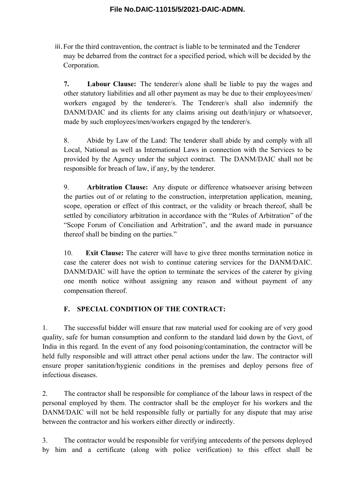iii.For the third contravention, the contract is liable to be terminated and the Tenderer may be debarred from the contract for a specified period, which will be decided by the Corporation.

**7. Labour Clause:** The tenderer/s alone shall be liable to pay the wages and other statutory liabilities and all other payment as may be due to their employees/men/ workers engaged by the tenderer/s. The Tenderer/s shall also indemnify the DANM/DAIC and its clients for any claims arising out death/injury or whatsoever, made by such employees/men/workers engaged by the tenderer/s.

8. Abide by Law of the Land: The tenderer shall abide by and comply with all Local, National as well as International Laws in connection with the Services to be provided by the Agency under the subject contract. The DANM/DAIC shall not be responsible for breach of law, if any, by the tenderer.

9. **Arbitration Clause:** Any dispute or difference whatsoever arising between the parties out of or relating to the construction, interpretation application, meaning, scope, operation or effect of this contract, or the validity or breach thereof, shall be settled by conciliatory arbitration in accordance with the "Rules of Arbitration" of the "Scope Forum of Conciliation and Arbitration", and the award made in pursuance thereof shall be binding on the parties."

10. **Exit Clause:** The caterer will have to give three months termination notice in case the caterer does not wish to continue catering services for the DANM/DAIC. DANM/DAIC will have the option to terminate the services of the caterer by giving one month notice without assigning any reason and without payment of any compensation thereof.

### **F. SPECIAL CONDITION OF THE CONTRACT:**

1. The successful bidder will ensure that raw material used for cooking are of very good quality, safe for human consumption and conform to the standard laid down by the Govt, of India in this regard. In the event of any food poisoning/contamination, the contractor will be held fully responsible and will attract other penal actions under the law. The contractor will ensure proper sanitation/hygienic conditions in the premises and deploy persons free of infectious diseases.

2. The contractor shall be responsible for compliance of the labour laws in respect of the personal employed by them. The contractor shall be the employer for his workers and the DANM/DAIC will not be held responsible fully or partially for any dispute that may arise between the contractor and his workers either directly or indirectly.

3. The contractor would be responsible for verifying antecedents of the persons deployed by him and a certificate (along with police verification) to this effect shall be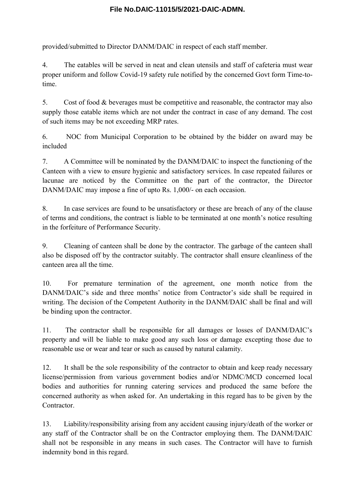provided/submitted to Director DANM/DAIC in respect of each staff member.

4. The eatables will be served in neat and clean utensils and staff of cafeteria must wear proper uniform and follow Covid-19 safety rule notified by the concerned Govt form Time-totime.

5. Cost of food & beverages must be competitive and reasonable, the contractor may also supply those eatable items which are not under the contract in case of any demand. The cost of such items may be not exceeding MRP rates.

6. NOC from Municipal Corporation to be obtained by the bidder on award may be included

7. A Committee will be nominated by the DANM/DAIC to inspect the functioning of the Canteen with a view to ensure hygienic and satisfactory services. In case repeated failures or lacunae are noticed by the Committee on the part of the contractor, the Director DANM/DAIC may impose a fine of upto Rs. 1,000/- on each occasion.

8. In case services are found to be unsatisfactory or these are breach of any of the clause of terms and conditions, the contract is liable to be terminated at one month's notice resulting in the forfeiture of Performance Security.

9. Cleaning of canteen shall be done by the contractor. The garbage of the canteen shall also be disposed off by the contractor suitably. The contractor shall ensure cleanliness of the canteen area all the time.

10. For premature termination of the agreement, one month notice from the DANM/DAIC's side and three months' notice from Contractor's side shall be required in writing. The decision of the Competent Authority in the DANM/DAIC shall be final and will be binding upon the contractor.

11. The contractor shall be responsible for all damages or losses of DANM/DAIC's property and will be liable to make good any such loss or damage excepting those due to reasonable use or wear and tear or such as caused by natural calamity.

12. It shall be the sole responsibility of the contractor to obtain and keep ready necessary license/permission from various government bodies and/or NDMC/MCD concerned local bodies and authorities for running catering services and produced the same before the concerned authority as when asked for. An undertaking in this regard has to be given by the Contractor.

13. Liability/responsibility arising from any accident causing injury/death of the worker or any staff of the Contractor shall be on the Contractor employing them. The DANM/DAIC shall not be responsible in any means in such cases. The Contractor will have to furnish indemnity bond in this regard.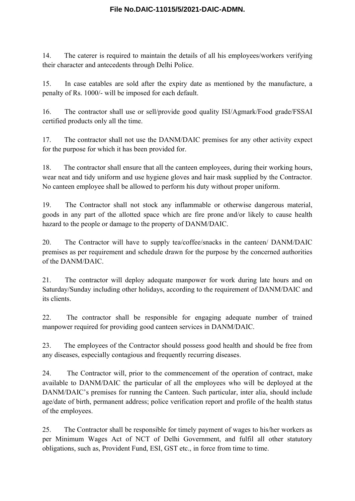14. The caterer is required to maintain the details of all his employees/workers verifying their character and antecedents through Delhi Police.

15. In case eatables are sold after the expiry date as mentioned by the manufacture, a penalty of Rs. 1000/- will be imposed for each default.

16. The contractor shall use or sell/provide good quality ISI/Agmark/Food grade/FSSAI certified products only all the time.

17. The contractor shall not use the DANM/DAIC premises for any other activity expect for the purpose for which it has been provided for.

18. The contractor shall ensure that all the canteen employees, during their working hours, wear neat and tidy uniform and use hygiene gloves and hair mask supplied by the Contractor. No canteen employee shall be allowed to perform his duty without proper uniform.

19. The Contractor shall not stock any inflammable or otherwise dangerous material, goods in any part of the allotted space which are fire prone and/or likely to cause health hazard to the people or damage to the property of DANM/DAIC.

20. The Contractor will have to supply tea/coffee/snacks in the canteen/ DANM/DAIC premises as per requirement and schedule drawn for the purpose by the concerned authorities of the DANM/DAIC.

21. The contractor will deploy adequate manpower for work during late hours and on Saturday/Sunday including other holidays, according to the requirement of DANM/DAIC and its clients.

22. The contractor shall be responsible for engaging adequate number of trained manpower required for providing good canteen services in DANM/DAIC.

23. The employees of the Contractor should possess good health and should be free from any diseases, especially contagious and frequently recurring diseases.

24. The Contractor will, prior to the commencement of the operation of contract, make available to DANM/DAIC the particular of all the employees who will be deployed at the DANM/DAIC's premises for running the Canteen. Such particular, inter alia, should include age/date of birth, permanent address; police verification report and profile of the health status of the employees.

25. The Contractor shall be responsible for timely payment of wages to his/her workers as per Minimum Wages Act of NCT of Delhi Government, and fulfil all other statutory obligations, such as, Provident Fund, ESI, GST etc., in force from time to time.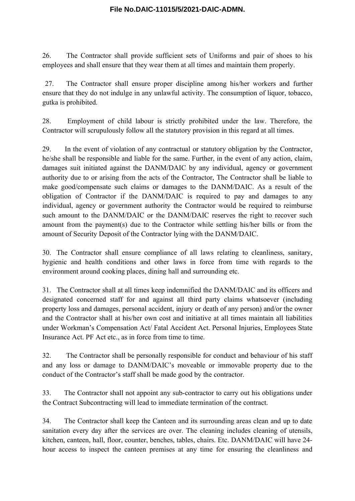26. The Contractor shall provide sufficient sets of Uniforms and pair of shoes to his employees and shall ensure that they wear them at all times and maintain them properly.

27. The Contractor shall ensure proper discipline among his/her workers and further ensure that they do not indulge in any unlawful activity. The consumption of liquor, tobacco, gutka is prohibited.

28. Employment of child labour is strictly prohibited under the law. Therefore, the Contractor will scrupulously follow all the statutory provision in this regard at all times.

29. In the event of violation of any contractual or statutory obligation by the Contractor, he/she shall be responsible and liable for the same. Further, in the event of any action, claim, damages suit initiated against the DANM/DAIC by any individual, agency or government authority due to or arising from the acts of the Contractor, The Contractor shall be liable to make good/compensate such claims or damages to the DANM/DAIC. As a result of the obligation of Contractor if the DANM/DAIC is required to pay and damages to any individual, agency or government authority the Contractor would be required to reimburse such amount to the DANM/DAIC or the DANM/DAIC reserves the right to recover such amount from the payment(s) due to the Contractor while settling his/her bills or from the amount of Security Deposit of the Contractor lying with the DANM/DAIC.

30. The Contractor shall ensure compliance of all laws relating to cleanliness, sanitary, hygienic and health conditions and other laws in force from time with regards to the environment around cooking places, dining hall and surrounding etc.

31. The Contractor shall at all times keep indemnified the DANM/DAIC and its officers and designated concerned staff for and against all third party claims whatsoever (including property loss and damages, personal accident, injury or death of any person) and/or the owner and the Contractor shall at his/her own cost and initiative at all times maintain all liabilities under Workman's Compensation Act/ Fatal Accident Act. Personal Injuries, Employees State Insurance Act. PF Act etc., as in force from time to time.

32. The Contractor shall be personally responsible for conduct and behaviour of his staff and any loss or damage to DANM/DAIC's moveable or immovable property due to the conduct of the Contractor's staff shall be made good by the contractor.

33. The Contractor shall not appoint any sub-contractor to carry out his obligations under the Contract Subcontracting will lead to immediate termination of the contract.

34. The Contractor shall keep the Canteen and its surrounding areas clean and up to date sanitation every day after the services are over. The cleaning includes cleaning of utensils, kitchen, canteen, hall, floor, counter, benches, tables, chairs. Etc. DANM/DAIC will have 24 hour access to inspect the canteen premises at any time for ensuring the cleanliness and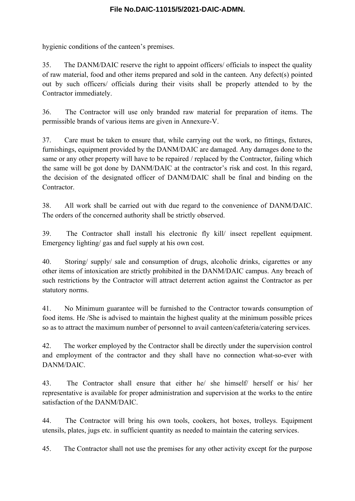hygienic conditions of the canteen's premises.

35. The DANM/DAIC reserve the right to appoint officers/ officials to inspect the quality of raw material, food and other items prepared and sold in the canteen. Any defect(s) pointed out by such officers/ officials during their visits shall be properly attended to by the Contractor immediately.

36. The Contractor will use only branded raw material for preparation of items. The permissible brands of various items are given in Annexure-V.

37. Care must be taken to ensure that, while carrying out the work, no fittings, fixtures, furnishings, equipment provided by the DANM/DAIC are damaged. Any damages done to the same or any other property will have to be repaired / replaced by the Contractor, failing which the same will be got done by DANM/DAIC at the contractor's risk and cost. In this regard, the decision of the designated officer of DANM/DAIC shall be final and binding on the **Contractor** 

38. All work shall be carried out with due regard to the convenience of DANM/DAIC. The orders of the concerned authority shall be strictly observed.

39. The Contractor shall install his electronic fly kill/ insect repellent equipment. Emergency lighting/ gas and fuel supply at his own cost.

40. Storing/ supply/ sale and consumption of drugs, alcoholic drinks, cigarettes or any other items of intoxication are strictly prohibited in the DANM/DAIC campus. Any breach of such restrictions by the Contractor will attract deterrent action against the Contractor as per statutory norms.

41. No Minimum guarantee will be furnished to the Contractor towards consumption of food items. He /She is advised to maintain the highest quality at the minimum possible prices so as to attract the maximum number of personnel to avail canteen/cafeteria/catering services.

42. The worker employed by the Contractor shall be directly under the supervision control and employment of the contractor and they shall have no connection what-so-ever with DANM/DAIC.

43. The Contractor shall ensure that either he/ she himself/ herself or his/ her representative is available for proper administration and supervision at the works to the entire satisfaction of the DANM/DAIC.

44. The Contractor will bring his own tools, cookers, hot boxes, trolleys. Equipment utensils, plates, jugs etc. in sufficient quantity as needed to maintain the catering services.

45. The Contractor shall not use the premises for any other activity except for the purpose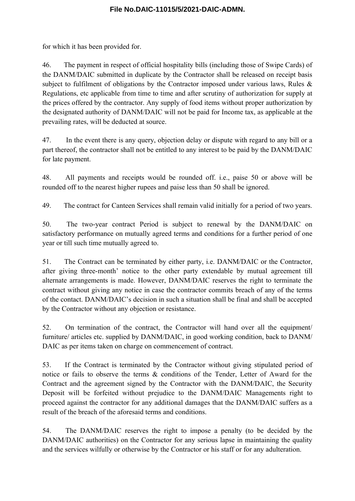for which it has been provided for.

46. The payment in respect of official hospitality bills (including those of Swipe Cards) of the DANM/DAIC submitted in duplicate by the Contractor shall be released on receipt basis subject to fulfilment of obligations by the Contractor imposed under various laws, Rules & Regulations, etc applicable from time to time and after scrutiny of authorization for supply at the prices offered by the contractor. Any supply of food items without proper authorization by the designated authority of DANM/DAIC will not be paid for Income tax, as applicable at the prevailing rates, will be deducted at source.

47. In the event there is any query, objection delay or dispute with regard to any bill or a part thereof, the contractor shall not be entitled to any interest to be paid by the DANM/DAIC for late payment.

48. All payments and receipts would be rounded off. i.e., paise 50 or above will be rounded off to the nearest higher rupees and paise less than 50 shall be ignored.

49. The contract for Canteen Services shall remain valid initially for a period of two years.

50. The two-year contract Period is subject to renewal by the DANM/DAIC on satisfactory performance on mutually agreed terms and conditions for a further period of one year or till such time mutually agreed to.

51. The Contract can be terminated by either party, i.e. DANM/DAIC or the Contractor, after giving three-month' notice to the other party extendable by mutual agreement till alternate arrangements is made. However, DANM/DAIC reserves the right to terminate the contract without giving any notice in case the contractor commits breach of any of the terms of the contact. DANM/DAIC's decision in such a situation shall be final and shall be accepted by the Contractor without any objection or resistance.

52. On termination of the contract, the Contractor will hand over all the equipment/ furniture/ articles etc. supplied by DANM/DAIC, in good working condition, back to DANM/ DAIC as per items taken on charge on commencement of contract.

53. If the Contract is terminated by the Contractor without giving stipulated period of notice or fails to observe the terms & conditions of the Tender, Letter of Award for the Contract and the agreement signed by the Contractor with the DANM/DAIC, the Security Deposit will be forfeited without prejudice to the DANM/DAIC Managements right to proceed against the contractor for any additional damages that the DANM/DAIC suffers as a result of the breach of the aforesaid terms and conditions.

54. The DANM/DAIC reserves the right to impose a penalty (to be decided by the DANM/DAIC authorities) on the Contractor for any serious lapse in maintaining the quality and the services wilfully or otherwise by the Contractor or his staff or for any adulteration.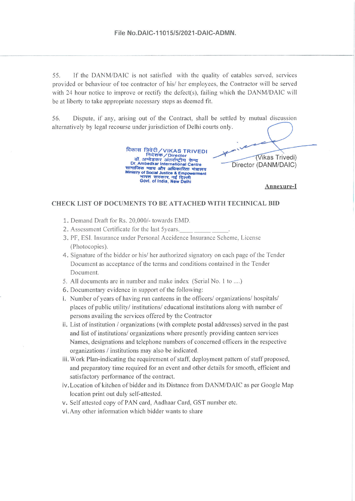55. If the DANM/DAIC is not satisfied with the quality of eatables served, services provided or behaviour of toe contractor of his/ her employees, the Contractor will be served with 24 hour notice to improve or rectify the defect(s), failing which the DANM/DAIC will be at liberty to take appropriate necessary steps as deemed fit.

56. Dispute, if any, arising out of the Contract, shall be settled by mutual discussion alternatively by legal recourse under jurisdiction of Delhi courts only.

> विकास त्रिवेदी/VIKAS TRIVEDI निदेशक / Director<br>डॉ. अम्बेडकर अंतर्राष्ट्रीय केन्द्र<br>Dr. Ambedkar International Centre Ur. Ampeusar international Centre<br>सामाजिक न्याय और अधिकारिता मंत्रालय<br>Ministry of Social Justice & Empowerment<br>"मारत सरकार, नई दिल्ली<br>Govt. of India, New Delhi

Annexure-I

(Vikas Trivedi)

Director (DANM/DAIC)

#### CHECK LIST OF DOCUMENTS TO BE ATTACHED WITH TECHNICAL BID

- 1. Demand Draft for Rs. 20,000/- towards EMD.
- 2. Assessment Certificate for the last 5years.
- 3. PF, ESI. Insurance under Personal Accidence Insurance Scheme, License (Photocopies).
- 4. Signature of the bidder or his/ her authorized signatory on each page of the Tender Document as acceptance of the terms and conditions contained in the Tender Document.
- 5. All documents are in number and make index (Serial No. 1 to ....)
- 6. Documentary evidence in support of the following:
- i. Number of years of having run canteens in the officers/ organizations/ hospitals/ places of public utility/ institutions/ educational institutions along with number of persons availing the services offered by the Contractor
- ii. List of institution / organizations (with complete postal addresses) served in the past and list of institutions/ organizations where presently providing canteen services Names, designations and telephone numbers of concerned officers in the respective organizations / institutions may also be indicated.
- iii. Work Plan-indicating the requirement of staff, deployment pattern of staff proposed, and preparatory time required for an event and other details for smooth, efficient and satisfactory performance of the contract.
- iv. Location of kitchen of bidder and its Distance from DANM/DAIC as per Google Map location print out duly self-attested.
- v. Self attested copy of PAN card, Aadhaar Card, GST number etc.
- vi. Any other information which bidder wants to share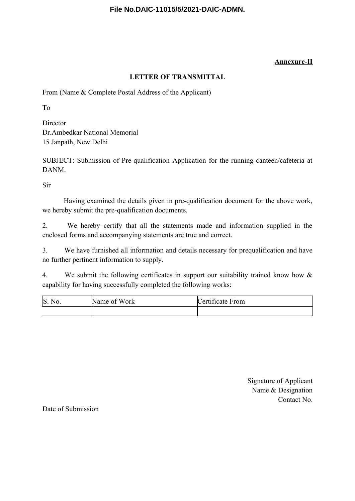### **Annexure-II**

### **LETTER OF TRANSMITTAL**

From (Name & Complete Postal Address of the Applicant)

To

**Director** Dr.Ambedkar National Memorial 15 Janpath, New Delhi

SUBJECT: Submission of Pre-qualification Application for the running canteen/cafeteria at DANM.

Sir

Having examined the details given in pre-qualification document for the above work, we hereby submit the pre-qualification documents.

2. We hereby certify that all the statements made and information supplied in the enclosed forms and accompanying statements are true and correct.

3. We have furnished all information and details necessary for prequalification and have no further pertinent information to supply.

4. We submit the following certificates in support our suitability trained know how & capability for having successfully completed the following works:

| S. No. | Name of<br>Work | $\cdot$ $\sim$<br>Certificate From |
|--------|-----------------|------------------------------------|
|        |                 |                                    |

Signature of Applicant Name & Designation Contact No.

Date of Submission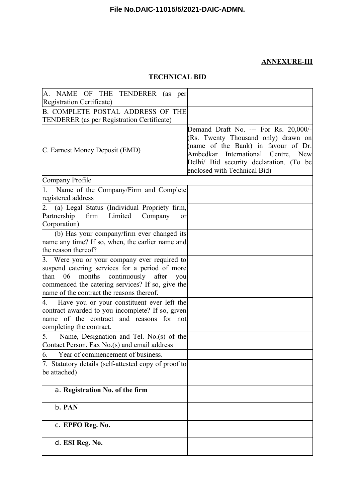## **ANNEXURE-III**

## **TECHNICAL BID**

| A. NAME OF THE TENDERER (as per<br>Registration Certificate)                                                                                                                                                                                   |                                                                                                                                                                                                                                      |
|------------------------------------------------------------------------------------------------------------------------------------------------------------------------------------------------------------------------------------------------|--------------------------------------------------------------------------------------------------------------------------------------------------------------------------------------------------------------------------------------|
| <b>B. COMPLETE POSTAL ADDRESS OF THE</b>                                                                                                                                                                                                       |                                                                                                                                                                                                                                      |
| <b>TENDERER</b> (as per Registration Certificate)                                                                                                                                                                                              |                                                                                                                                                                                                                                      |
| C. Earnest Money Deposit (EMD)                                                                                                                                                                                                                 | Demand Draft No. --- For Rs. 20,000/-<br>(Rs. Twenty Thousand only) drawn on<br>(name of the Bank) in favour of Dr.<br>Ambedkar International Centre, New<br>Delhi/ Bid security declaration. (To be<br>enclosed with Technical Bid) |
| Company Profile                                                                                                                                                                                                                                |                                                                                                                                                                                                                                      |
| Name of the Company/Firm and Complete<br>$1_{-}$<br>registered address                                                                                                                                                                         |                                                                                                                                                                                                                                      |
| 2. (a) Legal Status (Individual Propriety firm,<br>Partnership<br>firm<br>Limited<br>Company<br>or<br>Corporation)                                                                                                                             |                                                                                                                                                                                                                                      |
| (b) Has your company/firm ever changed its<br>name any time? If so, when, the earlier name and<br>the reason thereof?                                                                                                                          |                                                                                                                                                                                                                                      |
| 3. Were you or your company ever required to<br>suspend catering services for a period of more<br>06 months continuously after<br>than<br>you<br>commenced the catering services? If so, give the<br>name of the contract the reasons thereof. |                                                                                                                                                                                                                                      |
| Have you or your constituent ever left the<br>4.<br>contract awarded to you incomplete? If so, given<br>name of the contract and reasons for not<br>completing the contract.                                                                   |                                                                                                                                                                                                                                      |
| 5.<br>Name, Designation and Tel. No.(s) of the<br>Contact Person, Fax No.(s) and email address                                                                                                                                                 |                                                                                                                                                                                                                                      |
| 6. Year of commencement of business.                                                                                                                                                                                                           |                                                                                                                                                                                                                                      |
| 7. Statutory details (self-attested copy of proof to<br>be attached)                                                                                                                                                                           |                                                                                                                                                                                                                                      |
| a. Registration No. of the firm                                                                                                                                                                                                                |                                                                                                                                                                                                                                      |
| b. PAN                                                                                                                                                                                                                                         |                                                                                                                                                                                                                                      |
| c. EPFO Reg. No.                                                                                                                                                                                                                               |                                                                                                                                                                                                                                      |
| d. ESI Reg. No.                                                                                                                                                                                                                                |                                                                                                                                                                                                                                      |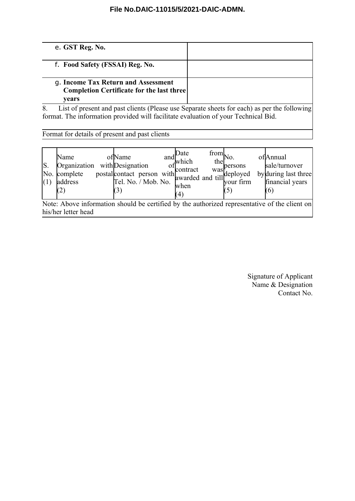| e. GST Reg. No.                                                                                  |  |
|--------------------------------------------------------------------------------------------------|--|
| f. Food Safety (FSSAI) Reg. No.                                                                  |  |
| g. Income Tax Return and Assessment<br><b>Completion Certificate for the last three</b><br>vears |  |
| List of present and past clients (Please use Separate sheets for each) as per the following      |  |

format. The information provided will facilitate evaluation of your Technical Bid.

Format for details of present and past clients

| ls.<br>(1)                                                                                    | Name<br>Organization with Designation<br>No. complete<br>address |  | ofName |  |  | ,Date<br>$\frac{and}{which}$<br>when<br>(4) | $\lim_{h \to \infty}$ No.<br>thel | with Designation of contract was<br>postal contact person with contract was<br>rel. No. / Mob. No. when |  | ofAnnual<br>sale/turnover<br>by during last three<br>financial years<br>(6) |
|-----------------------------------------------------------------------------------------------|------------------------------------------------------------------|--|--------|--|--|---------------------------------------------|-----------------------------------|---------------------------------------------------------------------------------------------------------|--|-----------------------------------------------------------------------------|
| Note: Above information should be certified by the authorized representative of the client on |                                                                  |  |        |  |  |                                             |                                   |                                                                                                         |  |                                                                             |

Note: Above information should be certified by the authorized representative of the client on his/her letter head

> Signature of Applicant Name & Designation Contact No.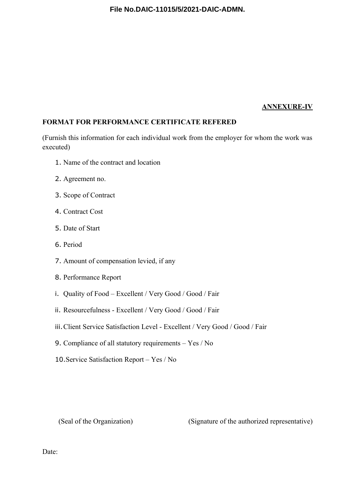#### **ANNEXURE-IV**

### **FORMAT FOR PERFORMANCE CERTIFICATE REFERED**

(Furnish this information for each individual work from the employer for whom the work was executed)

- 1. Name of the contract and location
- 2. Agreement no.
- 3. Scope of Contract
- 4. Contract Cost
- 5. Date of Start
- 6. Period
- 7. Amount of compensation levied, if any
- 8. Performance Report
- i. Quality of Food Excellent / Very Good / Good / Fair
- ii. Resourcefulness Excellent / Very Good / Good / Fair
- iii.Client Service Satisfaction Level Excellent / Very Good / Good / Fair
- 9. Compliance of all statutory requirements Yes / No
- 10.Service Satisfaction Report Yes / No

(Seal of the Organization) (Signature of the authorized representative)

Date: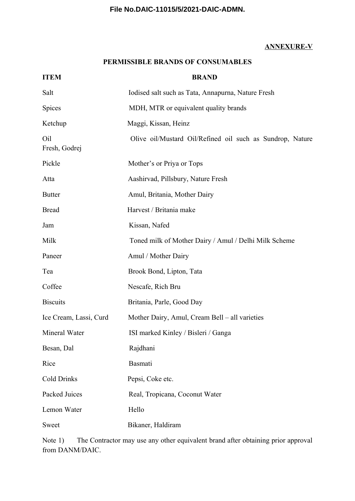### **ANNEXURE-V**

### **PERMISSIBLE BRANDS OF CONSUMABLES**

| <b>ITEM</b>            | <b>BRAND</b>                                              |
|------------------------|-----------------------------------------------------------|
| Salt                   | Iodised salt such as Tata, Annapurna, Nature Fresh        |
| Spices                 | MDH, MTR or equivalent quality brands                     |
| Ketchup                | Maggi, Kissan, Heinz                                      |
| Oil<br>Fresh, Godrej   | Olive oil/Mustard Oil/Refined oil such as Sundrop, Nature |
| Pickle                 | Mother's or Priya or Tops                                 |
| Atta                   | Aashirvad, Pillsbury, Nature Fresh                        |
| <b>Butter</b>          | Amul, Britania, Mother Dairy                              |
| <b>Bread</b>           | Harvest / Britania make                                   |
| Jam                    | Kissan, Nafed                                             |
| Milk                   | Toned milk of Mother Dairy / Amul / Delhi Milk Scheme     |
| Paneer                 | Amul / Mother Dairy                                       |
| Tea                    | Brook Bond, Lipton, Tata                                  |
| Coffee                 | Nescafe, Rich Bru                                         |
| <b>Biscuits</b>        | Britania, Parle, Good Day                                 |
| Ice Cream, Lassi, Curd | Mother Dairy, Amul, Cream Bell – all varieties            |
| Mineral Water          | ISI marked Kinley / Bisleri / Ganga                       |
| Besan, Dal             | Rajdhani                                                  |
| Rice                   | Basmati                                                   |
| <b>Cold Drinks</b>     | Pepsi, Coke etc.                                          |
| Packed Juices          | Real, Tropicana, Coconut Water                            |
| Lemon Water            | Hello                                                     |
| Sweet                  | Bikaner, Haldiram                                         |

Note 1) The Contractor may use any other equivalent brand after obtaining prior approval from DANM/DAIC.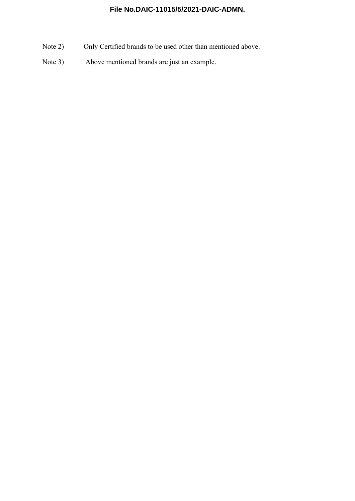- Note 2) Only Certified brands to be used other than mentioned above.
- Note 3) Above mentioned brands are just an example.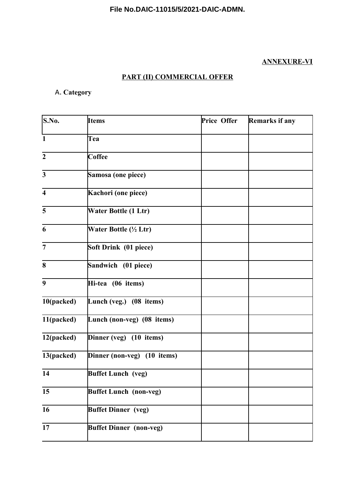## **ANNEXURE-VI**

# **PART (II) COMMERCIAL OFFER**

# A. **Category**

| S.No.                   | <b>Items</b>                   | Price Offer | Remarks if any |
|-------------------------|--------------------------------|-------------|----------------|
| $\mathbf{1}$            | Tea                            |             |                |
| $\overline{2}$          | Coffee                         |             |                |
| $\overline{\mathbf{3}}$ | Samosa (one piece)             |             |                |
| $\overline{\mathbf{4}}$ | Kachori (one piece)            |             |                |
| 5                       | Water Bottle (1 Ltr)           |             |                |
| 6                       | Water Bottle (½ Ltr)           |             |                |
| $\overline{7}$          | Soft Drink (01 piece)          |             |                |
| 8                       | Sandwich (01 piece)            |             |                |
| $\boldsymbol{9}$        | Hi-tea (06 items)              |             |                |
| 10(packed)              | Lunch (veg.) (08 items)        |             |                |
| 11(packed)              | Lunch (non-veg) (08 items)     |             |                |
| 12(packed)              | Dinner (veg) (10 items)        |             |                |
| 13(packed)              | Dinner (non-veg) (10 items)    |             |                |
| 14                      | <b>Buffet Lunch</b> (veg)      |             |                |
| 15                      | <b>Buffet Lunch (non-veg)</b>  |             |                |
| 16                      | <b>Buffet Dinner</b> (veg)     |             |                |
| 17                      | <b>Buffet Dinner (non-veg)</b> |             |                |